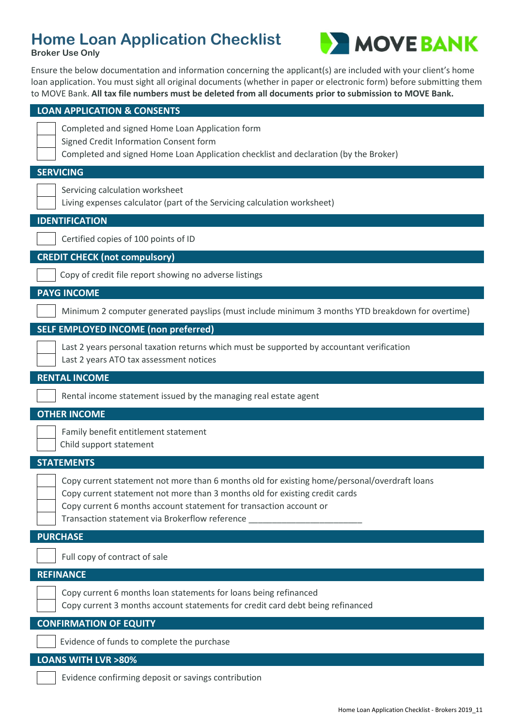## **Home Loan Application Checklist**





Ensure the below documentation and information concerning the applicant(s) are included with your client's home loan application. You must sight all original documents (whether in paper or electronic form) before submitting them to MOVE Bank. **All tax file numbers must be deleted from all documents prior to submission to MOVE Bank.**

| <b>LOAN APPLICATION &amp; CONSENTS</b>                                                                                                                                                                                                                                                              |
|-----------------------------------------------------------------------------------------------------------------------------------------------------------------------------------------------------------------------------------------------------------------------------------------------------|
| Completed and signed Home Loan Application form<br>Signed Credit Information Consent form<br>Completed and signed Home Loan Application checklist and declaration (by the Broker)                                                                                                                   |
| <b>SERVICING</b>                                                                                                                                                                                                                                                                                    |
| Servicing calculation worksheet<br>Living expenses calculator (part of the Servicing calculation worksheet)                                                                                                                                                                                         |
| <b>IDENTIFICATION</b>                                                                                                                                                                                                                                                                               |
| Certified copies of 100 points of ID                                                                                                                                                                                                                                                                |
| <b>CREDIT CHECK (not compulsory)</b>                                                                                                                                                                                                                                                                |
| Copy of credit file report showing no adverse listings                                                                                                                                                                                                                                              |
| <b>PAYG INCOME</b>                                                                                                                                                                                                                                                                                  |
| Minimum 2 computer generated payslips (must include minimum 3 months YTD breakdown for overtime)                                                                                                                                                                                                    |
| <b>SELF EMPLOYED INCOME (non preferred)</b>                                                                                                                                                                                                                                                         |
| Last 2 years personal taxation returns which must be supported by accountant verification<br>Last 2 years ATO tax assessment notices                                                                                                                                                                |
| <b>RENTAL INCOME</b>                                                                                                                                                                                                                                                                                |
| Rental income statement issued by the managing real estate agent                                                                                                                                                                                                                                    |
| <b>OTHER INCOME</b>                                                                                                                                                                                                                                                                                 |
| Family benefit entitlement statement<br>Child support statement                                                                                                                                                                                                                                     |
| <b>STATEMENTS</b>                                                                                                                                                                                                                                                                                   |
| Copy current statement not more than 6 months old for existing home/personal/overdraft loans<br>Copy current statement not more than 3 months old for existing credit cards<br>Copy current 6 months account statement for transaction account or<br>Transaction statement via Brokerflow reference |
| <b>PURCHASE</b>                                                                                                                                                                                                                                                                                     |
| Full copy of contract of sale                                                                                                                                                                                                                                                                       |
| <b>REFINANCE</b>                                                                                                                                                                                                                                                                                    |
| Copy current 6 months loan statements for loans being refinanced<br>Copy current 3 months account statements for credit card debt being refinanced                                                                                                                                                  |
| <b>CONFIRMATION OF EQUITY</b>                                                                                                                                                                                                                                                                       |
| Evidence of funds to complete the purchase                                                                                                                                                                                                                                                          |
| <b>LOANS WITH LVR &gt;80%</b>                                                                                                                                                                                                                                                                       |
| Evidence confirming deposit or savings contribution                                                                                                                                                                                                                                                 |